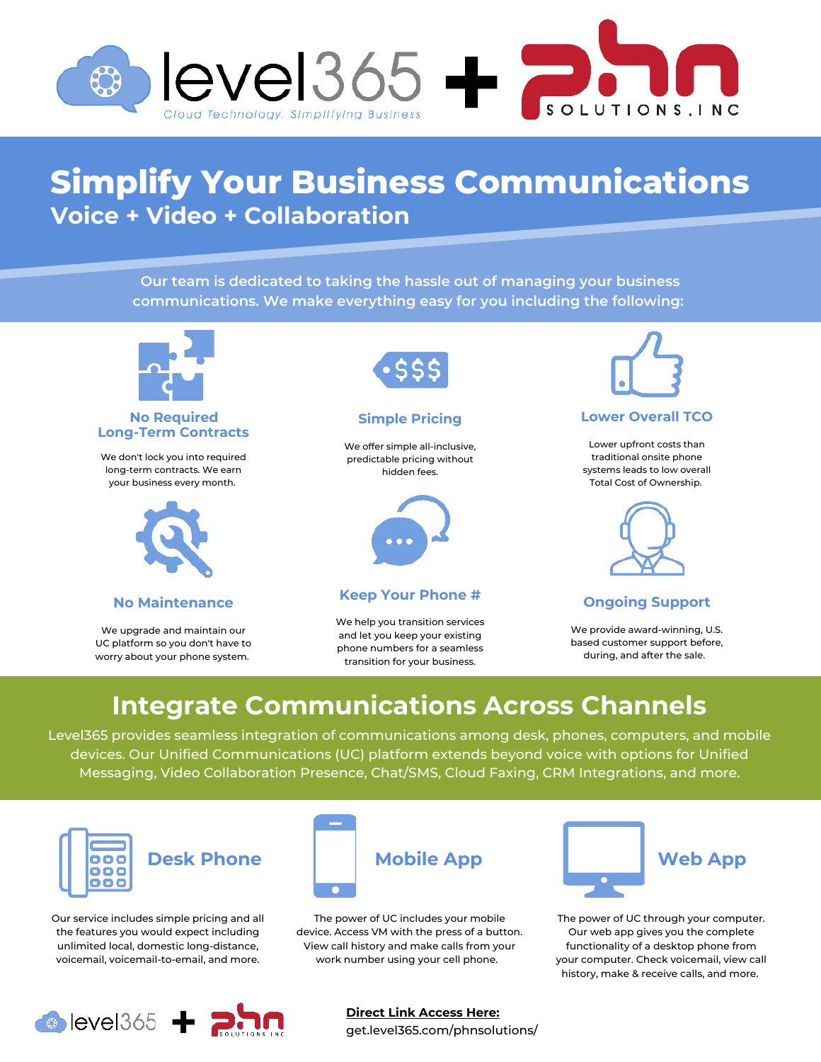

# **Simplify Your Business Communications Voice + Video + Collaboration**

**Our team is dedicated to taking the hassle out of managing your business communications. We make everything easy for you including the following:** 



#### **No Required Long-Term Contracts**

We don't lock you into required long-term contracts. We earn your business every month.



### **No Maintenance**

We upgrade and maintain our UC platform so you don't have to worry about your phone system.



### **Simple Pricing**

We offer simple all-inclusive, predictable pricing without hidden fees.



### **Keep Your Phone #**

We help you transition services and let you keep your existing phone numbers for a seamless transition for your business.



## **Lower Overall TCO**

Lower upfront costs than traditional onsite phone systems leads to low overall Total Cost of Ownership.



## **Ongoing Support**

We provide award-winning, U.S. based customer support before, during, and after the sale.

# **Integrate Communications Across Channels**

Level365 provides seamless integration of communications among desk, phones, computers, and mobile devices. Our Unified Communications (UC) platform extends beyond voice with options for Unified Messaging, Video Collaboration Presence, Chat/SMS, Cloud Faxing, CRM Integrations, and more.



Our service includes simple pricing and all the features you would expect including unlimited local, domestic long-distance, voicemail, voicemail-to-email, and more.



The power of UC includes your mobile device. Access VM with the press of a button. View call history and make calls from your work number using your cell phone.



The power of UC through your computer. Our web app gives you the complete functionality of a desktop phone from your computer. Check voicemail, view call history, make & receive calls, and more.



**Direct Link Access Here:** get.level365.com/phnsolutions/